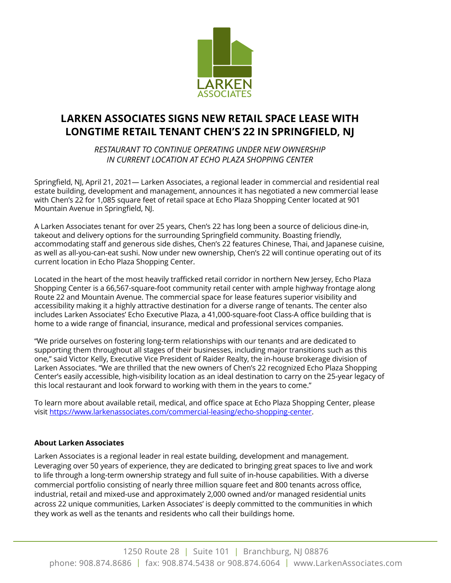

## **LARKEN ASSOCIATES SIGNS NEW RETAIL SPACE LEASE WITH LONGTIME RETAIL TENANT CHEN'S 22 IN SPRINGFIELD, NJ**

*RESTAURANT TO CONTINUE OPERATING UNDER NEW OWNERSHIP IN CURRENT LOCATION AT ECHO PLAZA SHOPPING CENTER* 

Springfield, NJ, April 21, 2021— Larken Associates, a regional leader in commercial and residential real estate building, development and management, announces it has negotiated a new commercial lease with Chen's 22 for 1,085 square feet of retail space at Echo Plaza Shopping Center located at 901 Mountain Avenue in Springfield, NJ.

A Larken Associates tenant for over 25 years, Chen's 22 has long been a source of delicious dine-in, takeout and delivery options for the surrounding Springfield community. Boasting friendly, accommodating staff and generous side dishes, Chen's 22 features Chinese, Thai, and Japanese cuisine, as well as all-you-can-eat sushi. Now under new ownership, Chen's 22 will continue operating out of its current location in Echo Plaza Shopping Center.

Located in the heart of the most heavily trafficked retail corridor in northern New Jersey, Echo Plaza Shopping Center is a 66,567-square-foot community retail center with ample highway frontage along Route 22 and Mountain Avenue. The commercial space for lease features superior visibility and accessibility making it a highly attractive destination for a diverse range of tenants. The center also includes Larken Associates' Echo Executive Plaza, a 41,000-square-foot Class-A office building that is home to a wide range of financial, insurance, medical and professional services companies.

"We pride ourselves on fostering long-term relationships with our tenants and are dedicated to supporting them throughout all stages of their businesses, including major transitions such as this one," said Victor Kelly, Executive Vice President of Raider Realty, the in-house brokerage division of Larken Associates. "We are thrilled that the new owners of Chen's 22 recognized Echo Plaza Shopping Center's easily accessible, high-visibility location as an ideal destination to carry on the 25-year legacy of this local restaurant and look forward to working with them in the years to come."

To learn more about available retail, medical, and office space at Echo Plaza Shopping Center, please visit https://www.larkenassociates.com/commercial-leasing/echo-shopping-center.

## **About Larken Associates**

Larken Associates is a regional leader in real estate building, development and management. Leveraging over 50 years of experience, they are dedicated to bringing great spaces to live and work to life through a long-term ownership strategy and full suite of in-house capabilities. With a diverse commercial portfolio consisting of nearly three million square feet and 800 tenants across office, industrial, retail and mixed-use and approximately 2,000 owned and/or managed residential units across 22 unique communities, Larken Associates' is deeply committed to the communities in which they work as well as the tenants and residents who call their buildings home.